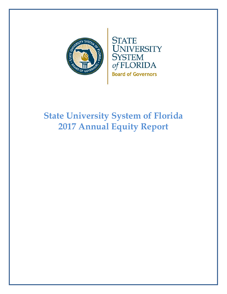

# **State University System of Florida 2017 Annual Equity Report**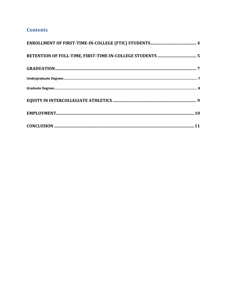## **Contents**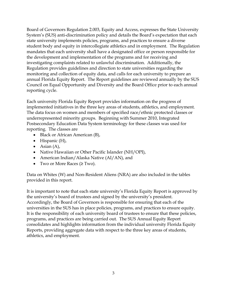Board of Governors Regulation 2.003, Equity and Access, expresses the State University System's (SUS) anti-discrimination policy and details the Board's expectation that each state university implements policies, programs, and practices to ensure a diverse student body and equity in intercollegiate athletics and in employment. The Regulation mandates that each university shall have a designated office or person responsible for the development and implementation of the programs and for receiving and investigating complaints related to unlawful discrimination. Additionally, the Regulation provides guidelines and direction to state universities regarding the monitoring and collection of equity data, and calls for each university to prepare an annual Florida Equity Report. The Report guidelines are reviewed annually by the SUS Council on Equal Opportunity and Diversity and the Board Office prior to each annual reporting cycle.

Each university Florida Equity Report provides information on the progress of implemented initiatives in the three key areas of students, athletics, and employment. The data focus on women and members of specified race/ethnic protected classes or underrepresented minority groups. Beginning with Summer 2010, Integrated Postsecondary Education Data System terminology for these classes was used for reporting. The classes are

- Black or African American (B),
- $\bullet$  Hispanic (H),
- Asian  $(A)$ ,
- Native Hawaiian or Other Pacific Islander (NH/OPI),
- American Indian/Alaska Native (AI/AN), and
- Two or More Races  $(\geq)$ Two).

Data on Whites (W) and Non-Resident Aliens (NRA) are also included in the tables provided in this report.

It is important to note that each state university's Florida Equity Report is approved by the university's board of trustees and signed by the university's president. Accordingly, the Board of Governors is responsible for ensuring that each of the universities in the SUS has in place policies, programs, and practices to ensure equity. It is the responsibility of each university board of trustees to ensure that these policies, programs, and practices are being carried out. The SUS Annual Equity Report consolidates and highlights information from the individual university Florida Equity Reports, providing aggregate data with respect to the three key areas of students, athletics, and employment.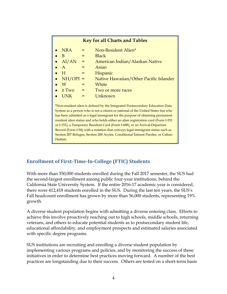| <b>Key for all Charts and Tables</b>                                                                                                                              |     |                                        |  |  |  |  |  |  |  |  |
|-------------------------------------------------------------------------------------------------------------------------------------------------------------------|-----|----------------------------------------|--|--|--|--|--|--|--|--|
| <b>NRA</b>                                                                                                                                                        | $=$ | Non-Resident Alien*                    |  |  |  |  |  |  |  |  |
| - B                                                                                                                                                               | $=$ | <b>Black</b>                           |  |  |  |  |  |  |  |  |
| AI/AN                                                                                                                                                             | $=$ | American Indian/Alaskan Native         |  |  |  |  |  |  |  |  |
| $\mathbf{A}$                                                                                                                                                      | $=$ | Asian                                  |  |  |  |  |  |  |  |  |
| H                                                                                                                                                                 | $=$ | <b>Hispanic</b>                        |  |  |  |  |  |  |  |  |
| $NH/OPI =$                                                                                                                                                        |     | Native Hawaiian/Other Pacific Islander |  |  |  |  |  |  |  |  |
| W                                                                                                                                                                 | $=$ | White                                  |  |  |  |  |  |  |  |  |
| $\bullet \quad \geq Two$                                                                                                                                          | $=$ | Two or more races                      |  |  |  |  |  |  |  |  |
| <b>UNK</b>                                                                                                                                                        | $=$ | Unknown                                |  |  |  |  |  |  |  |  |
| *Non-resident alien is defined by the Integrated Postsecondary Education Data<br>System as a person who is not a citizen or national of the United States but who |     |                                        |  |  |  |  |  |  |  |  |

System as a person who is not a citizen or national of the United States but who has been admitted as a legal immigrant for the purpose of obtaining permanent resident alien status and who holds either an alien registration card (Form I-551 or I-151), a Temporary Resident Card (Form I-688), or an Arrival-Departure Record (Form I-94) with a notation that conveys legal immigrant status such as Section 207 Refugee, Section 208 Asylee, Conditional Entrant Parolee, or Cuban-Haitian.

## **Enrollment of First‐Time‐In‐College (FTIC) Students**

With more than 350,000 students enrolled during the Fall 2017 semester, the SUS had the second-largest enrollment among public four-year institutions, behind the California State University System. If the entire 2016-17 academic year is considered, there were 412,418 students enrolled in the SUS. During the last ten years, the SUS's Fall headcount enrollment has grown by more than 56,000 students, representing 19% growth.

A diverse student population begins with admitting a diverse entering class. Efforts to achieve this involve proactively reaching out to high schools, middle schools, returning veterans, and others to educate potential students as to postsecondary student life, educational affordability, and employment prospects and estimated salaries associated with specific degree programs.

SUS institutions are recruiting and enrolling a diverse student population by implementing various programs and policies, and by monitoring the success of these initiatives in order to determine best practices moving forward. A number of the best practices are longstanding due to their success. Others are tested on a short-term basis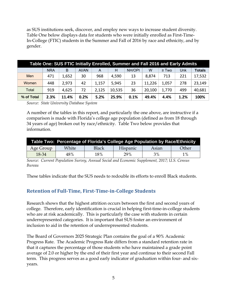as SUS institutions seek, discover, and employ new ways to increase student diversity. Table One below displays data for students who were initially enrolled as First-Time-In-College (FTIC) students in the Summer and Fall of 2016 by race and ethnicity, and by gender.

| Table One: SUS FTIC Initially Enrolled, Summer and Fall 2016 and Early Admits |            |       |       |       |        |        |        |            |      |               |  |
|-------------------------------------------------------------------------------|------------|-------|-------|-------|--------|--------|--------|------------|------|---------------|--|
|                                                                               | <b>NRA</b> | B     | Al/AN | A     | Н      | NH/OPI | W      | $\geq$ Two | Unk  | <b>Totals</b> |  |
| Men                                                                           | 471        | 1,652 | 30    | 968   | 4,590  | 13     | 8,874  | 713        | 221  | 17,532        |  |
| Women                                                                         | 448        | 2,973 | 42    | 1,157 | 5,945  | 23     | 11,226 | 1,057      | 278  | 23,149        |  |
| Total                                                                         | 919        | 4,625 | 72    | 2,125 | 10,535 | 36     | 20,100 | 1,770      | 499  | 40,681        |  |
| % of Total                                                                    | 2.3%       | 11.4% | 0.2%  | 5.2%  | 25.9%  | 0.1%   | 49.4%  | 4.4%       | 1.2% | 100%          |  |

*Source: State University Database System* 

A number of the tables in this report, and particularly the one above, are instructive if a comparison is made with Florida's college age population (defined as from 18 through 34 years of age) broken out by race/ethnicity. Table Two below provides that information.

| Table Two: Percentage of Florida's College Age Population by Race/Ethnicity |       |              |                 |       |       |  |  |  |  |  |  |
|-----------------------------------------------------------------------------|-------|--------------|-----------------|-------|-------|--|--|--|--|--|--|
| Age Group                                                                   | White | <b>Black</b> | <b>Hispanic</b> | Asian | Other |  |  |  |  |  |  |
| 18-34                                                                       | 48%   | 18%          | 29%             | 3%    | $1\%$ |  |  |  |  |  |  |

*Source: Current Population Survey, Annual Social and Economic Supplement, 2017; U.S. Census Bureau* 

These tables indicate that the SUS needs to redouble its efforts to enroll Black students.

## **Retention of Full‐Time, First‐Time‐in‐College Students**

Research shows that the highest attrition occurs between the first and second years of college. Therefore, early identification is crucial in helping first-time-in-college students who are at risk academically. This is particularly the case with students in certain underrepresented categories. It is important that SUS foster an environment of inclusion to aid in the retention of underrepresented students.

The Board of Governors 2025 Strategic Plan contains the goal of a 90% Academic Progress Rate. The Academic Progress Rate differs from a standard retention rate in that it captures the percentage of those students who have maintained a grade point average of 2.0 or higher by the end of their first year and continue to their second Fall term. This progress serves as a good early indicator of graduation within four- and sixyears.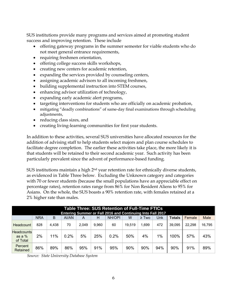SUS institutions provide many programs and services aimed at promoting student success and improving retention. These include

- offering gateway programs in the summer semester for viable students who do not meet general entrance requirements,
- requiring freshmen orientation,
- offering college success skills workshops,
- creating new centers for academic retention,
- expanding the services provided by counseling centers,
- assigning academic advisors to all incoming freshmen,
- building supplemental instruction into STEM courses,
- enhancing advisor utilization of technology,
- expanding early academic alert programs,
- targeting interventions for students who are officially on academic probation,
- mitigating "deadly combinations" of same-day final examinations through scheduling adjustments,
- reducing class sizes, and
- creating living-learning communities for first year students.

In addition to these activities, several SUS universities have allocated resources for the addition of advising staff to help students select majors and plan course schedules to facilitate degree completion. The earlier these activities take place, the more likely it is that students will be retained to their second academic year. Such activity has been particularly prevalent since the advent of performance-based funding.

SUS institutions maintain a high 2<sup>nd</sup> year retention rate for ethnically diverse students, as evidenced in Table Three below. Excluding the Unknown category and categories with 70 or fewer students (because the small populations have an appreciable effect on percentage rates), retention rates range from 86% for Non Resident Aliens to 95% for Asians. On the whole, the SUS boasts a 90% retention rate, with females retained at a 2% higher rate than males.

|                                  | Table Three: SUS Retention of Full-Time FTICs<br>Entering Summer or Fall 2016 and Continuing Into Fall 2017 |       |       |       |       |        |        |            |       |               |        |        |
|----------------------------------|-------------------------------------------------------------------------------------------------------------|-------|-------|-------|-------|--------|--------|------------|-------|---------------|--------|--------|
|                                  | <b>NRA</b>                                                                                                  | B     | AI/AN | A     | н     | NH/OPI | W      | $\geq$ Two | Unk   | <b>Totals</b> | Female | Male   |
| Headcount                        | 828                                                                                                         | 4.438 | 70    | 2.049 | 9.960 | 60     | 19.519 | .699       | 472   | 39.095        | 22.298 | 16,795 |
| Headcounts<br>as a %<br>of Total | 2%                                                                                                          | 11%   | 0.2%  | 5%    | 25%   | 0.2%   | 50%    | 4%         | $1\%$ | 100%          | 57%    | 43%    |
| Percent<br>Retained              | 86%                                                                                                         | 89%   | 86%   | 95%   | 91%   | 95%    | 90%    | 90%        | 94%   | 90%           | 91%    | 89%    |

*Source: State University Database System*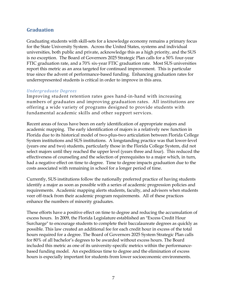## **Graduation**

Graduating students with skill-sets for a knowledge economy remains a primary focus for the State University System. Across the United States, systems and individual universities, both public and private, acknowledge this as a high priority, and the SUS is no exception. The Board of Governors 2025 Strategic Plan calls for a 50% four-year FTIC graduation rate, and a 70% six-year FTIC graduation rate. Most SUS universities report this metric as an area targeted for continued improvement. This is particular true since the advent of performance-based funding. Enhancing graduation rates for underrepresented students is critical in order to improve in this area.

#### *Undergraduate Degrees*

Improving student retention rates goes hand-in-hand with increasing numbers of graduates and improving graduation rates. All institutions are offering a wide variety of programs designed to provide students with fundamental academic skills and other support services.

Recent areas of focus have been on early identification of appropriate majors and academic mapping. The early identification of majors is a relatively new function in Florida due to its historical model of two-plus-two articulation between Florida College System institutions and SUS institutions. A longstanding practice was that lower-level (years one and two) students, particularly those in the Florida College System, did not select majors until they reached the upper level (years three and four). This reduced the effectiveness of counseling and the selection of prerequisites to a major which, in turn, had a negative effect on time to degree. Time to degree impacts graduation due to the costs associated with remaining in school for a longer period of time.

Currently, SUS institutions follow the nationally preferred practice of having students identify a major as soon as possible with a series of academic progression policies and requirements. Academic mapping alerts students, faculty, and advisors when students veer off-track from their academic program requirements. All of these practices enhance the numbers of minority graduates.

These efforts have a positive effect on time to degree and reducing the accumulation of excess hours. In 2009, the Florida Legislature established an "Excess Credit Hour Surcharge" to encourage students to complete their baccalaureate degrees as quickly as possible. This law created an additional fee for each credit hour in excess of the total hours required for a degree. The Board of Governors 2025 System Strategic Plan calls for 80% of all bachelor's degrees to be awarded without excess hours. The Board included this metric as one of its university-specific metrics within the performancebased funding model. An expeditious time to degree and the elimination of excess hours is especially important for students from lower socioeconomic environments.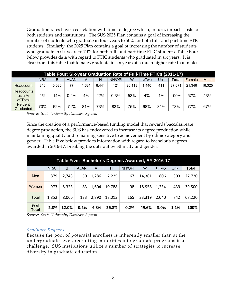Graduation rates have a correlation with time to degree which, in turn, impacts costs to both students and institutions. The SUS 2025 Plan contains a goal of increasing the number of students who graduate in four years to 50% for both full- and part-time FTIC students. Similarly, the 2025 Plan contains a goal of increasing the number of students who graduate in six years to 70% for both full- and part-time FTIC students. Table Four below provides data with regard to FTIC students who graduated in six years. It is clear from this table that females graduate in six years at a much higher rate than males.

|                                           | Table Four: Six-year Graduation Rate of Full-Time FTICs (2011-17) |       |       |      |       |        |        |            |       |              |        |             |  |  |
|-------------------------------------------|-------------------------------------------------------------------|-------|-------|------|-------|--------|--------|------------|-------|--------------|--------|-------------|--|--|
|                                           | NRA                                                               | B     | Al/AN | A    | н     | NH/OPI | W      | $\geq$ Two | Unk   | <b>Total</b> | Female | <b>Male</b> |  |  |
| Headcount                                 | 346                                                               | 5.086 | 77    | .631 | 8.441 | 121    | 20.118 | 1.440      | 411   | 37.671       | 21,346 | 16,325      |  |  |
| <b>Headcounts</b><br>as a $%$<br>of Total | $1\%$                                                             | 14%   | 0.2%  | 4%   | 22%   | 0.3%   | 53%    | 4%         | $1\%$ | 100%         | 57%    | 43%         |  |  |
| Percent<br>Graduated                      | 70%                                                               | 62%   | 71%   | 81%  | 73%   | 83%    | 75%    | 68%        | 81%   | 73%          | 77%    | 67%         |  |  |

*Source: State University Database System* 

Since the creation of a performance-based funding model that rewards baccalaureate degree production, the SUS has endeavored to increase its degree production while maintaining quality and remaining sensitive to achievement by ethnic category and gender. Table Five below provides information with regard to bachelor's degrees awarded in 2016-17, breaking the data out by ethnicity and gender.

|                        | Table Five: Bachelor's Degrees Awarded, AY 2016-17 |       |       |       |        |        |        |            |      |              |  |  |  |
|------------------------|----------------------------------------------------|-------|-------|-------|--------|--------|--------|------------|------|--------------|--|--|--|
|                        | <b>NRA</b>                                         | B     | Al/AN | A     | н      | NH/OPI | W      | $\geq$ Two | Unk  | <b>Total</b> |  |  |  |
| Men                    | 879                                                | 2,743 | 50    | 1,286 | 7,225  | 67     | 14,361 | 806        | 303  | 27,720       |  |  |  |
| <b>Women</b>           | 973                                                | 5,323 | 83    | 1,604 | 10,788 | 98     | 18,958 | 1,234      | 439  | 39,500       |  |  |  |
| Total                  | 1,852                                              | 8,066 | 133   | 2,890 | 18,013 | 165    | 33,319 | 2,040      | 742  | 67,220       |  |  |  |
| $%$ of<br><b>Total</b> | 2.8%                                               | 12.0% | 0.2%  | 4.3%  | 26.8%  | 0.2%   | 49.6%  | 3.0%       | 1.1% | 100%         |  |  |  |

*Source: State University Database System* 

#### *Graduate Degrees*

Because the pool of potential enrollees is inherently smaller than at the undergraduate level, recruiting minorities into graduate programs is a challenge. SUS institutions utilize a number of strategies to increase diversity in graduate education.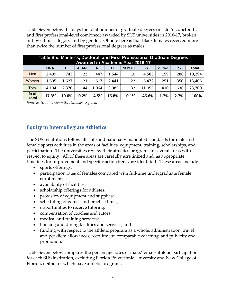Table Seven below displays the total number of graduate degrees (master's-, doctoral-, and first professional-level combined) awarded by SUS universities in 2016-17, broken out by ethnic category and by gender. Of note here is that Black females received more than twice the number of first professional degrees as males.

|                        | Table Six: Master's, Doctoral, and First Professional Graduate Degrees<br><b>Awarded in Academic Year 2016-17</b> |       |       |       |       |        |        |            |      |              |  |  |
|------------------------|-------------------------------------------------------------------------------------------------------------------|-------|-------|-------|-------|--------|--------|------------|------|--------------|--|--|
|                        | <b>NRA</b>                                                                                                        | B     | AI/AN | A     | н     | NH/OPI | W      | $\geq$ Two | Unk  | <b>Total</b> |  |  |
| Men                    | 2,499                                                                                                             | 743   | 23    | 447   | 1,544 | 10     | 4,583  | 159        | 286  | 10,294       |  |  |
| Women                  | 1,605                                                                                                             | 1,627 | 21    | 617   | 2,441 | 22     | 6,472  | 251        | 350  | 13,406       |  |  |
| Total                  | 4,104                                                                                                             | 2,370 | 44    | 1,064 | 3,985 | 32     | 11,055 | 410        | 636  | 23,700       |  |  |
| $%$ of<br><b>Total</b> | 17.3%                                                                                                             | 10.0% | 0.2%  | 4.5%  | 16.8% | 0.1%   | 46.6%  | 1.7%       | 2.7% | 100%         |  |  |

*Source: State University Database System* 

## **Equity in Intercollegiate Athletics**

The SUS institutions follow all state and nationally mandated standards for male and female sports activities in the areas of facilities, equipment, training, scholarships, and participation. The universities review their athletics programs in several areas with respect to equity. All of these areas are carefully scrutinized and, as appropriate, timelines for improvement and specific action items are identified. These areas include

- sports offerings;
- participation rates of females compared with full-time undergraduate female enrollment;
- availability of facilities;
- scholarship offerings for athletes;
- provision of equipment and supplies;
- scheduling of games and practice times;
- opportunities to receive tutoring;
- compensation of coaches and tutors;
- medical and training services;
- housing and dining facilities and services; and
- funding with respect to the athletic program as a whole, administration, travel and per diem allowances, recruitment, comparable coaching, and publicity and promotion.

Table Seven below compares the percentage rates of male/female athletic participation for each SUS institution, excluding Florida Polytechnic University and New College of Florida, neither of which have athletic programs.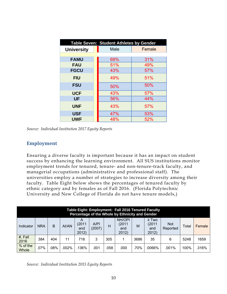|                   | Table Seven: Student Athletes by Gender |        |  |  |  |  |  |  |  |  |  |  |
|-------------------|-----------------------------------------|--------|--|--|--|--|--|--|--|--|--|--|
| <b>University</b> | Male                                    | Female |  |  |  |  |  |  |  |  |  |  |
|                   |                                         |        |  |  |  |  |  |  |  |  |  |  |
| <b>FAMU</b>       | 69%                                     | 31%    |  |  |  |  |  |  |  |  |  |  |
| <b>FAU</b>        | 51%                                     | 49%    |  |  |  |  |  |  |  |  |  |  |
| <b>FGCU</b>       | 43%                                     | 57%    |  |  |  |  |  |  |  |  |  |  |
| <b>FIU</b>        | 49%                                     | 51%    |  |  |  |  |  |  |  |  |  |  |
| <b>FSU</b>        | 50%                                     | 50%    |  |  |  |  |  |  |  |  |  |  |
| <b>UCF</b>        | 43%                                     | 57%    |  |  |  |  |  |  |  |  |  |  |
| <b>UF</b>         | 56%                                     | 44%    |  |  |  |  |  |  |  |  |  |  |
| <b>UNF</b>        | 43%                                     | 57%    |  |  |  |  |  |  |  |  |  |  |
| <b>USF</b>        | 47%                                     | 53%    |  |  |  |  |  |  |  |  |  |  |
| <b>UWF</b>        | 48%                                     | 52%    |  |  |  |  |  |  |  |  |  |  |

*Source: Individual Institution 2017 Equity Reports* 

## **Employment**

Ensuring a diverse faculty is important because it has an impact on student success by enhancing the learning environment. All SUS institutions monitor employment trends for tenured, tenure- and non-tenure-track faculty, and managerial occupations (administrative and professional staff). The universities employ a number of strategies to increase diversity among their faculty. Table Eight below shows the percentages of tenured faculty by ethnic category and by females as of Fall 2016. (Florida Polytechnic University and New College of Florida do not have tenure models,)

|                   | Table Eight: Employment: Fall 2016 Tenured Faculty<br>Percentage of the Whole by Ethnicity and Gender |      |       |                             |                |      |                                 |      |                                      |                        |       |        |
|-------------------|-------------------------------------------------------------------------------------------------------|------|-------|-----------------------------|----------------|------|---------------------------------|------|--------------------------------------|------------------------|-------|--------|
| Indicator         | <b>NRA</b>                                                                                            | B    | Al/AN | Α<br>(2011)<br>and<br>2012) | A/PI<br>(2007) | Н    | NH/OPI<br>(2011<br>and<br>2012) | W    | $\geq$ Two<br>(2011)<br>and<br>2012) | <b>Not</b><br>Reported | Total | Female |
| #, Fall<br>2016   | 384                                                                                                   | 404  | 11    | 716                         | 3              | 305  |                                 | 3686 | 35                                   | 6                      | 5248  | 1659   |
| % of the<br>Whole | $.07\%$                                                                                               | .08% | .002% | .136%                       | .001           | .058 | .000                            | .70% | .0066%                               | .001%                  | 100%  | .316%  |

*Source: Individual Institution 2015 Equity Reports*